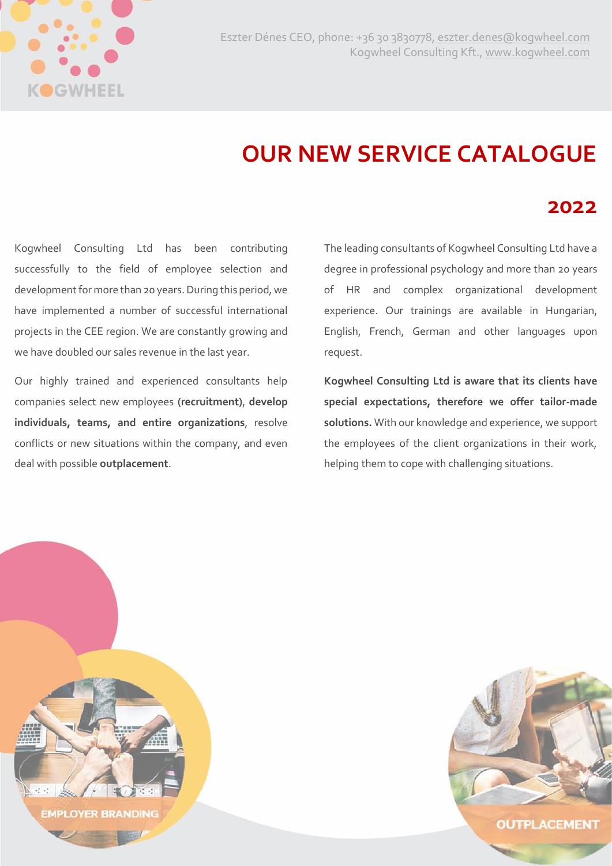

## **OUR NEW SERVICE CATALOGUE**

## **2022**

Kogwheel Consulting Ltd has been contributing successfully to the field of employee selection and development for more than 20 years. During this period, we have implemented a number of successful international projects in the CEE region. We are constantly growing and we have doubled our sales revenue in the last year.

Our highly trained and experienced consultants help companies select new employees **(recruitment)**, **develop individuals, teams, and entire organizations**, resolve conflicts or new situations within the company, and even deal with possible **outplacement**.

The leading consultants of Kogwheel Consulting Ltd have a degree in professional psychology and more than 20 years of HR and complex organizational development experience. Our trainings are available in Hungarian, English, French, German and other languages upon request.

**Kogwheel Consulting Ltd is aware that its clients have special expectations, therefore we offer tailor-made solutions.** With our knowledge and experience, we support the employees of the client organizations in their work, helping them to cope with challenging situations.



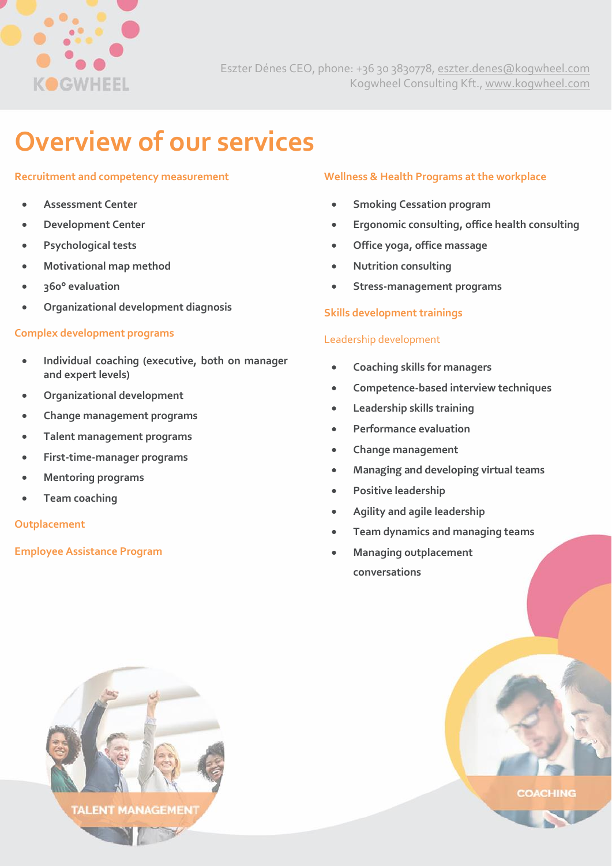

# **Overview of our services**

#### **Recruitment and competency measurement**

- **Assessment Center**
- **Development Center**
- **Psychological tests**
- **Motivational map method**
- **360° evaluation**
- **Organizational development diagnosis**

#### **Complex development programs**

- **Individual coaching (executive, both on manager and expert levels)**
- **Organizational development**
- **Change management programs**
- **Talent management programs**
- **First-time-manager programs**
- **Mentoring programs**
- **Team coaching**

#### **Outplacement**

#### **Employee Assistance Program**

#### **Wellness & Health Programs at the workplace**

- **Smoking Cessation program**
- **Ergonomic consulting, office health consulting**
- **Office yoga, office massage**
- **Nutrition consulting**
- **Stress-management programs**

#### **Skills development trainings**

#### Leadership development

- **Coaching skills for managers**
- **Competence-based interview techniques**
- **Leadership skills training**
- **Performance evaluation**
- **Change management**
- **Managing and developing virtual teams**
- **Positive leadership**
- **Agility and agile leadership**
- **Team dynamics and managing teams**
- **Managing outplacement conversations**



**COACHING**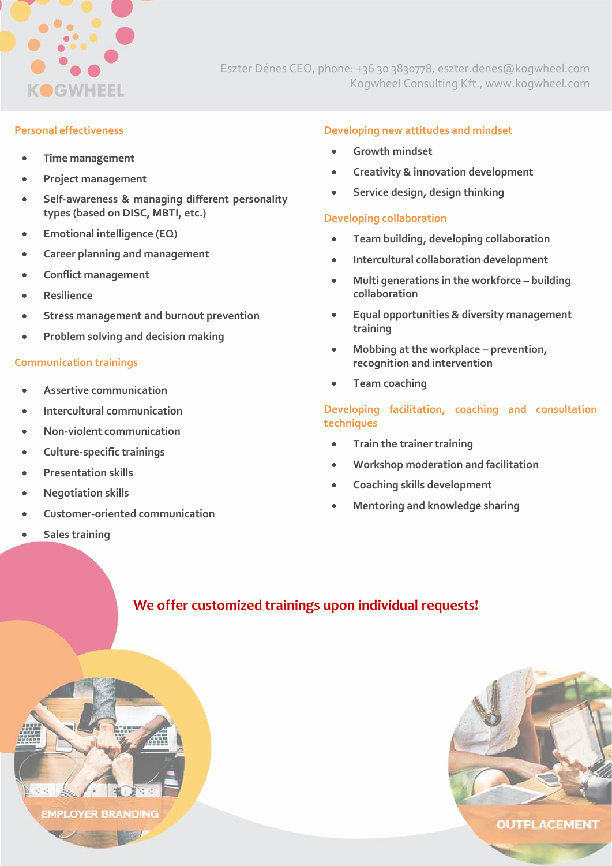

Eszter Dénes CEO, phone: +36 30 3830778, [eszter.denes@kogwheel.com](mailto:eszter.denes@kogwheel.com) Kogwheel Consulting Kft., [www.kogwheel.com](http://www.kogwheel.com/)

#### **Personal effectiveness**

- **Time management**
- **Project management**
- **Self-awareness & managing different personality types (based on DISC, MBTI, etc.)**
- **Emotional intelligence (EQ)**
- **Career planning and management**
- **Conflict management**
- **Resilience**
- **Stress management and burnout prevention**
- **Problem solving and decision making**

#### **Communication trainings**

- **Assertive communication**
- **Intercultural communication**
- **Non-violent communication**

**EMPLOYER BRANDING** 

- **Culture-specific trainings**
- **Presentation skills**
- **Negotiation skills**
- **Customer-oriented communication**
- **Sales training**

#### **Developing new attitudes and mindset**

- **Growth mindset**
- **Creativity & innovation development**
- **Service design, design thinking**

#### **Developing collaboration**

- **Team building, developing collaboration**
- **Intercultural collaboration development**
- **Multi generations in the workforce – building collaboration**
- **Equal opportunities & diversity management training**
- **Mobbing at the workplace – prevention, recognition and intervention**
- **Team coaching**

#### **Developing facilitation, coaching and consultation techniques**

- **Train the trainer training**
- **Workshop moderation and facilitation**
- **Coaching skills development**
- **Mentoring and knowledge sharing**

### **We offer customized trainings upon individual requests!**



OUTPLACEMENT